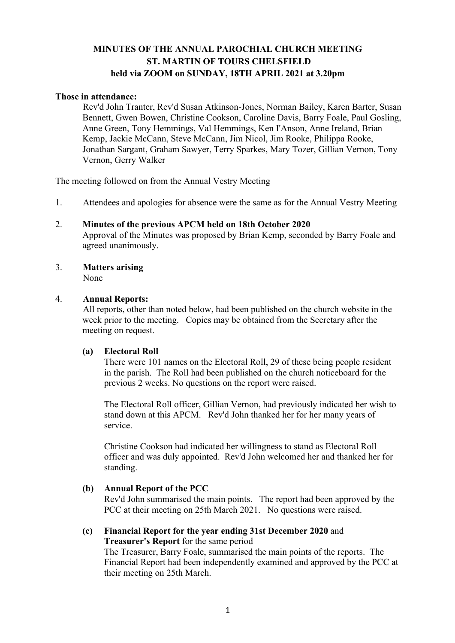# **MINUTES OF THE ANNUAL PAROCHIAL CHURCH MEETING ST. MARTIN OF TOURS CHELSFIELD held via ZOOM on SUNDAY, 18TH APRIL 2021 at 3.20pm**

#### **Those in attendance:**

Rev'd John Tranter, Rev'd Susan Atkinson-Jones, Norman Bailey, Karen Barter, Susan Bennett, Gwen Bowen, Christine Cookson, Caroline Davis, Barry Foale, Paul Gosling, Anne Green, Tony Hemmings, Val Hemmings, Ken I'Anson, Anne Ireland, Brian Kemp, Jackie McCann, Steve McCann, Jim Nicol, Jim Rooke, Philippa Rooke, Jonathan Sargant, Graham Sawyer, Terry Sparkes, Mary Tozer, Gillian Vernon, Tony Vernon, Gerry Walker

The meeting followed on from the Annual Vestry Meeting

- 1. Attendees and apologies for absence were the same as for the Annual Vestry Meeting
- 2. **Minutes of the previous APCM held on 18th October 2020** Approval of the Minutes was proposed by Brian Kemp, seconded by Barry Foale and agreed unanimously.
- 3. **Matters arising** None

### 4. **Annual Reports:**

All reports, other than noted below, had been published on the church website in the week prior to the meeting. Copies may be obtained from the Secretary after the meeting on request.

#### **(a) Electoral Roll**

There were 101 names on the Electoral Roll, 29 of these being people resident in the parish. The Roll had been published on the church noticeboard for the previous 2 weeks. No questions on the report were raised.

The Electoral Roll officer, Gillian Vernon, had previously indicated her wish to stand down at this APCM. Rev'd John thanked her for her many years of service.

Christine Cookson had indicated her willingness to stand as Electoral Roll officer and was duly appointed. Rev'd John welcomed her and thanked her for standing.

# **(b) Annual Report of the PCC**

Rev'd John summarised the main points. The report had been approved by the PCC at their meeting on 25th March 2021. No questions were raised.

#### **(c) Financial Report for the year ending 31st December 2020** and **Treasurer's Report** for the same period

The Treasurer, Barry Foale, summarised the main points of the reports. The Financial Report had been independently examined and approved by the PCC at their meeting on 25th March.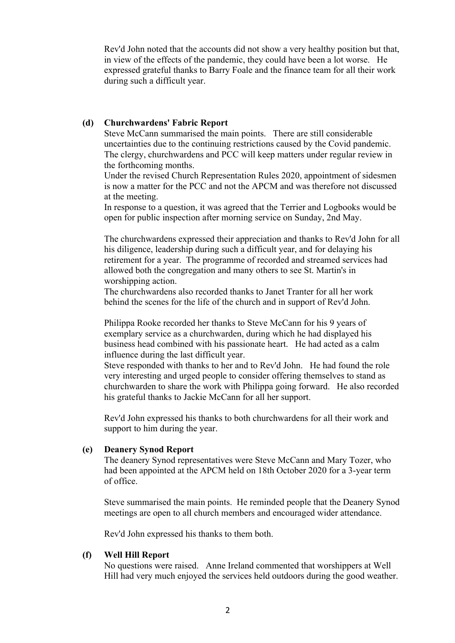Rev'd John noted that the accounts did not show a very healthy position but that, in view of the effects of the pandemic, they could have been a lot worse. He expressed grateful thanks to Barry Foale and the finance team for all their work during such a difficult year.

#### **(d) Churchwardens' Fabric Report**

Steve McCann summarised the main points. There are still considerable uncertainties due to the continuing restrictions caused by the Covid pandemic. The clergy, churchwardens and PCC will keep matters under regular review in the forthcoming months.

Under the revised Church Representation Rules 2020, appointment of sidesmen is now a matter for the PCC and not the APCM and was therefore not discussed at the meeting.

In response to a question, it was agreed that the Terrier and Logbooks would be open for public inspection after morning service on Sunday, 2nd May.

The churchwardens expressed their appreciation and thanks to Rev'd John for all his diligence, leadership during such a difficult year, and for delaying his retirement for a year. The programme of recorded and streamed services had allowed both the congregation and many others to see St. Martin's in worshipping action.

The churchwardens also recorded thanks to Janet Tranter for all her work behind the scenes for the life of the church and in support of Rev'd John.

Philippa Rooke recorded her thanks to Steve McCann for his 9 years of exemplary service as a churchwarden, during which he had displayed his business head combined with his passionate heart. He had acted as a calm influence during the last difficult year.

Steve responded with thanks to her and to Rev'd John. He had found the role very interesting and urged people to consider offering themselves to stand as churchwarden to share the work with Philippa going forward. He also recorded his grateful thanks to Jackie McCann for all her support.

Rev'd John expressed his thanks to both churchwardens for all their work and support to him during the year.

#### **(e) Deanery Synod Report**

The deanery Synod representatives were Steve McCann and Mary Tozer, who had been appointed at the APCM held on 18th October 2020 for a 3-year term of office.

Steve summarised the main points. He reminded people that the Deanery Synod meetings are open to all church members and encouraged wider attendance.

Rev'd John expressed his thanks to them both.

#### **(f) Well Hill Report**

No questions were raised. Anne Ireland commented that worshippers at Well Hill had very much enjoyed the services held outdoors during the good weather.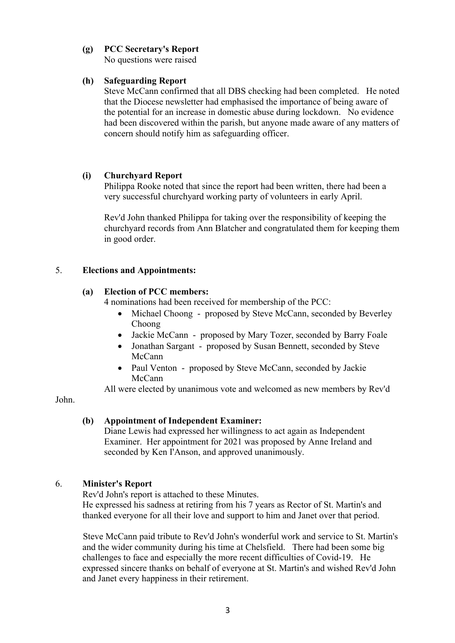## **(g) PCC Secretary's Report**

No questions were raised

### **(h) Safeguarding Report**

Steve McCann confirmed that all DBS checking had been completed. He noted that the Diocese newsletter had emphasised the importance of being aware of the potential for an increase in domestic abuse during lockdown. No evidence had been discovered within the parish, but anyone made aware of any matters of concern should notify him as safeguarding officer.

### **(i) Churchyard Report**

Philippa Rooke noted that since the report had been written, there had been a very successful churchyard working party of volunteers in early April.

Rev'd John thanked Philippa for taking over the responsibility of keeping the churchyard records from Ann Blatcher and congratulated them for keeping them in good order.

## 5. **Elections and Appointments:**

### **(a) Election of PCC members:**

4 nominations had been received for membership of the PCC:

- Michael Choong proposed by Steve McCann, seconded by Beverley Choong
- Jackie McCann proposed by Mary Tozer, seconded by Barry Foale
- Jonathan Sargant proposed by Susan Bennett, seconded by Steve McCann
- Paul Venton proposed by Steve McCann, seconded by Jackie McCann

All were elected by unanimous vote and welcomed as new members by Rev'd

#### John.

# **(b) Appointment of Independent Examiner:**

Diane Lewis had expressed her willingness to act again as Independent Examiner. Her appointment for 2021 was proposed by Anne Ireland and seconded by Ken I'Anson, and approved unanimously.

# 6. **Minister's Report**

Rev'd John's report is attached to these Minutes.

He expressed his sadness at retiring from his 7 years as Rector of St. Martin's and thanked everyone for all their love and support to him and Janet over that period.

Steve McCann paid tribute to Rev'd John's wonderful work and service to St. Martin's and the wider community during his time at Chelsfield. There had been some big challenges to face and especially the more recent difficulties of Covid-19. He expressed sincere thanks on behalf of everyone at St. Martin's and wished Rev'd John and Janet every happiness in their retirement.